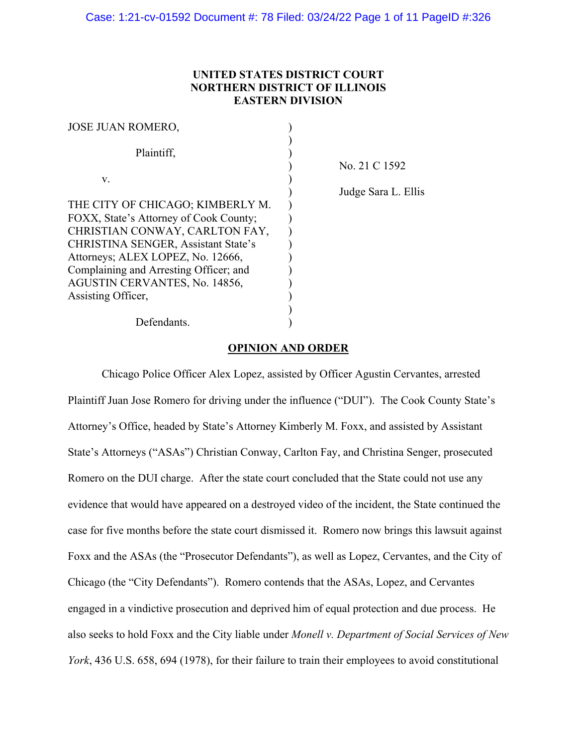## **UNITED STATES DISTRICT COURT NORTHERN DISTRICT OF ILLINOIS EASTERN DIVISION**

| <b>JOSE JUAN ROMERO,</b>                   |                     |
|--------------------------------------------|---------------------|
| Plaintiff,                                 |                     |
|                                            | No. 21 C 1592       |
| V.                                         | Judge Sara L. Ellis |
| THE CITY OF CHICAGO; KIMBERLY M.           |                     |
| FOXX, State's Attorney of Cook County;     |                     |
| CHRISTIAN CONWAY, CARLTON FAY,             |                     |
| <b>CHRISTINA SENGER, Assistant State's</b> |                     |
| Attorneys; ALEX LOPEZ, No. 12666,          |                     |
| Complaining and Arresting Officer; and     |                     |
| AGUSTIN CERVANTES, No. 14856,              |                     |
| Assisting Officer,                         |                     |
|                                            |                     |
| Defendants.                                |                     |

## **OPINION AND ORDER**

Chicago Police Officer Alex Lopez, assisted by Officer Agustin Cervantes, arrested Plaintiff Juan Jose Romero for driving under the influence ("DUI"). The Cook County State's Attorney's Office, headed by State's Attorney Kimberly M. Foxx, and assisted by Assistant State's Attorneys ("ASAs") Christian Conway, Carlton Fay, and Christina Senger, prosecuted Romero on the DUI charge. After the state court concluded that the State could not use any evidence that would have appeared on a destroyed video of the incident, the State continued the case for five months before the state court dismissed it. Romero now brings this lawsuit against Foxx and the ASAs (the "Prosecutor Defendants"), as well as Lopez, Cervantes, and the City of Chicago (the "City Defendants"). Romero contends that the ASAs, Lopez, and Cervantes engaged in a vindictive prosecution and deprived him of equal protection and due process. He also seeks to hold Foxx and the City liable under *Monell v. Department of Social Services of New York*, 436 U.S. 658, 694 (1978), for their failure to train their employees to avoid constitutional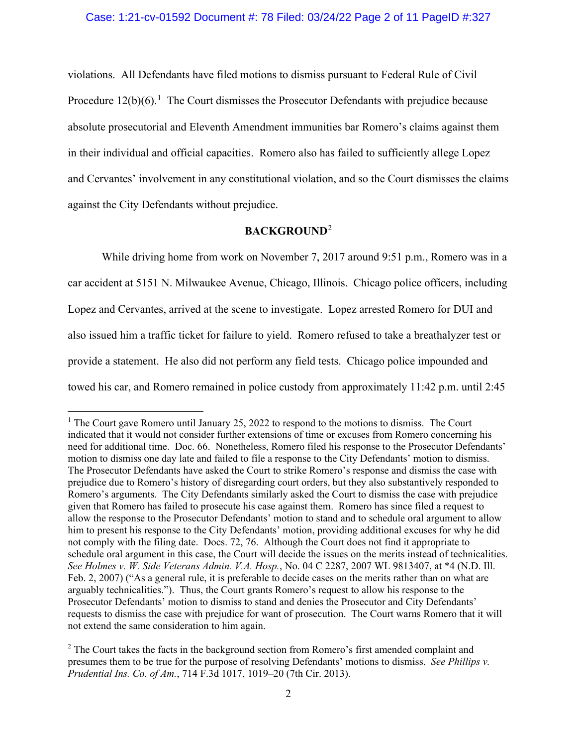violations. All Defendants have filed motions to dismiss pursuant to Federal Rule of Civil Procedure  $12(b)(6)$  $12(b)(6)$ .<sup>1</sup> The Court dismisses the Prosecutor Defendants with prejudice because absolute prosecutorial and Eleventh Amendment immunities bar Romero's claims against them in their individual and official capacities. Romero also has failed to sufficiently allege Lopez and Cervantes' involvement in any constitutional violation, and so the Court dismisses the claims against the City Defendants without prejudice.

# **BACKGROUND**[2](#page-1-1)

While driving home from work on November 7, 2017 around 9:51 p.m., Romero was in a car accident at 5151 N. Milwaukee Avenue, Chicago, Illinois. Chicago police officers, including Lopez and Cervantes, arrived at the scene to investigate. Lopez arrested Romero for DUI and also issued him a traffic ticket for failure to yield. Romero refused to take a breathalyzer test or provide a statement. He also did not perform any field tests. Chicago police impounded and towed his car, and Romero remained in police custody from approximately 11:42 p.m. until 2:45

<span id="page-1-0"></span> $1$  The Court gave Romero until January 25, 2022 to respond to the motions to dismiss. The Court indicated that it would not consider further extensions of time or excuses from Romero concerning his need for additional time. Doc. 66. Nonetheless, Romero filed his response to the Prosecutor Defendants' motion to dismiss one day late and failed to file a response to the City Defendants' motion to dismiss. The Prosecutor Defendants have asked the Court to strike Romero's response and dismiss the case with prejudice due to Romero's history of disregarding court orders, but they also substantively responded to Romero's arguments. The City Defendants similarly asked the Court to dismiss the case with prejudice given that Romero has failed to prosecute his case against them. Romero has since filed a request to allow the response to the Prosecutor Defendants' motion to stand and to schedule oral argument to allow him to present his response to the City Defendants' motion, providing additional excuses for why he did not comply with the filing date. Docs. 72, 76. Although the Court does not find it appropriate to schedule oral argument in this case, the Court will decide the issues on the merits instead of technicalities. *See Holmes v. W. Side Veterans Admin. V.A. Hosp.*, No. 04 C 2287, 2007 WL 9813407, at \*4 (N.D. Ill. Feb. 2, 2007) ("As a general rule, it is preferable to decide cases on the merits rather than on what are arguably technicalities."). Thus, the Court grants Romero's request to allow his response to the Prosecutor Defendants' motion to dismiss to stand and denies the Prosecutor and City Defendants' requests to dismiss the case with prejudice for want of prosecution. The Court warns Romero that it will not extend the same consideration to him again.

<span id="page-1-1"></span><sup>&</sup>lt;sup>2</sup> The Court takes the facts in the background section from Romero's first amended complaint and presumes them to be true for the purpose of resolving Defendants' motions to dismiss. *See Phillips v. Prudential Ins. Co. of Am.*, 714 F.3d 1017, 1019–20 (7th Cir. 2013).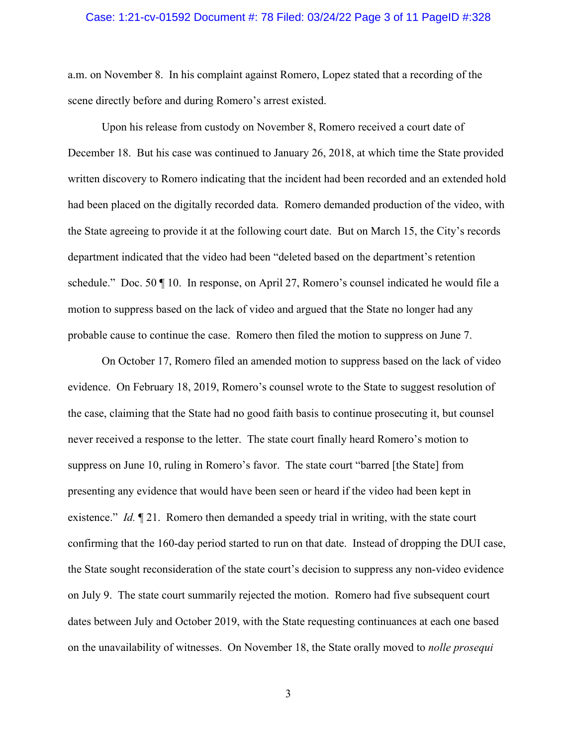#### Case: 1:21-cv-01592 Document #: 78 Filed: 03/24/22 Page 3 of 11 PageID #:328

a.m. on November 8. In his complaint against Romero, Lopez stated that a recording of the scene directly before and during Romero's arrest existed.

Upon his release from custody on November 8, Romero received a court date of December 18. But his case was continued to January 26, 2018, at which time the State provided written discovery to Romero indicating that the incident had been recorded and an extended hold had been placed on the digitally recorded data. Romero demanded production of the video, with the State agreeing to provide it at the following court date. But on March 15, the City's records department indicated that the video had been "deleted based on the department's retention schedule." Doc. 50 ¶ 10. In response, on April 27, Romero's counsel indicated he would file a motion to suppress based on the lack of video and argued that the State no longer had any probable cause to continue the case. Romero then filed the motion to suppress on June 7.

On October 17, Romero filed an amended motion to suppress based on the lack of video evidence. On February 18, 2019, Romero's counsel wrote to the State to suggest resolution of the case, claiming that the State had no good faith basis to continue prosecuting it, but counsel never received a response to the letter. The state court finally heard Romero's motion to suppress on June 10, ruling in Romero's favor. The state court "barred [the State] from presenting any evidence that would have been seen or heard if the video had been kept in existence." *Id.* 121. Romero then demanded a speedy trial in writing, with the state court confirming that the 160-day period started to run on that date. Instead of dropping the DUI case, the State sought reconsideration of the state court's decision to suppress any non-video evidence on July 9. The state court summarily rejected the motion. Romero had five subsequent court dates between July and October 2019, with the State requesting continuances at each one based on the unavailability of witnesses. On November 18, the State orally moved to *nolle prosequi*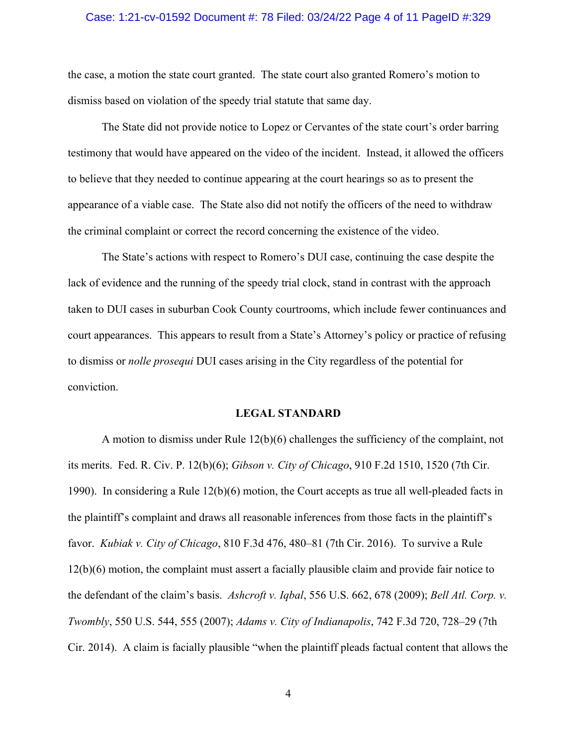#### Case: 1:21-cv-01592 Document #: 78 Filed: 03/24/22 Page 4 of 11 PageID #:329

the case, a motion the state court granted. The state court also granted Romero's motion to dismiss based on violation of the speedy trial statute that same day.

The State did not provide notice to Lopez or Cervantes of the state court's order barring testimony that would have appeared on the video of the incident. Instead, it allowed the officers to believe that they needed to continue appearing at the court hearings so as to present the appearance of a viable case. The State also did not notify the officers of the need to withdraw the criminal complaint or correct the record concerning the existence of the video.

The State's actions with respect to Romero's DUI case, continuing the case despite the lack of evidence and the running of the speedy trial clock, stand in contrast with the approach taken to DUI cases in suburban Cook County courtrooms, which include fewer continuances and court appearances. This appears to result from a State's Attorney's policy or practice of refusing to dismiss or *nolle prosequi* DUI cases arising in the City regardless of the potential for conviction.

#### **LEGAL STANDARD**

A motion to dismiss under Rule 12(b)(6) challenges the sufficiency of the complaint, not its merits. Fed. R. Civ. P. 12(b)(6); *Gibson v. City of Chicago*, 910 F.2d 1510, 1520 (7th Cir. 1990). In considering a Rule 12(b)(6) motion, the Court accepts as true all well-pleaded facts in the plaintiff's complaint and draws all reasonable inferences from those facts in the plaintiff's favor. *Kubiak v. City of Chicago*, 810 F.3d 476, 480–81 (7th Cir. 2016). To survive a Rule 12(b)(6) motion, the complaint must assert a facially plausible claim and provide fair notice to the defendant of the claim's basis. *Ashcroft v. Iqbal*, 556 U.S. 662, 678 (2009); *Bell Atl. Corp. v. Twombly*, 550 U.S. 544, 555 (2007); *Adams v. City of Indianapolis*, 742 F.3d 720, 728–29 (7th Cir. 2014). A claim is facially plausible "when the plaintiff pleads factual content that allows the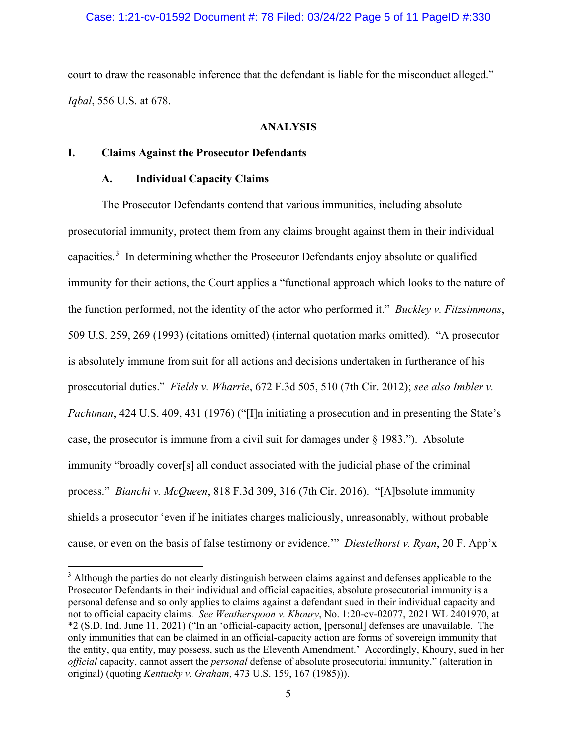## Case: 1:21-cv-01592 Document #: 78 Filed: 03/24/22 Page 5 of 11 PageID #:330

court to draw the reasonable inference that the defendant is liable for the misconduct alleged." *Iqbal*, 556 U.S. at 678.

#### **ANALYSIS**

#### **I. Claims Against the Prosecutor Defendants**

## **A. Individual Capacity Claims**

The Prosecutor Defendants contend that various immunities, including absolute prosecutorial immunity, protect them from any claims brought against them in their individual capacities.<sup>[3](#page-4-0)</sup> In determining whether the Prosecutor Defendants enjoy absolute or qualified immunity for their actions, the Court applies a "functional approach which looks to the nature of the function performed, not the identity of the actor who performed it." *Buckley v. Fitzsimmons*, 509 U.S. 259, 269 (1993) (citations omitted) (internal quotation marks omitted). "A prosecutor is absolutely immune from suit for all actions and decisions undertaken in furtherance of his prosecutorial duties." *Fields v. Wharrie*, 672 F.3d 505, 510 (7th Cir. 2012); *see also Imbler v. Pachtman*, 424 U.S. 409, 431 (1976) ("[I]n initiating a prosecution and in presenting the State's case, the prosecutor is immune from a civil suit for damages under § 1983."). Absolute immunity "broadly cover[s] all conduct associated with the judicial phase of the criminal process." *Bianchi v. McQueen*, 818 F.3d 309, 316 (7th Cir. 2016). "[A]bsolute immunity shields a prosecutor 'even if he initiates charges maliciously, unreasonably, without probable cause, or even on the basis of false testimony or evidence.'" *Diestelhorst v. Ryan*, 20 F. App'x

<span id="page-4-0"></span><sup>&</sup>lt;sup>3</sup> Although the parties do not clearly distinguish between claims against and defenses applicable to the Prosecutor Defendants in their individual and official capacities, absolute prosecutorial immunity is a personal defense and so only applies to claims against a defendant sued in their individual capacity and not to official capacity claims. *See Weatherspoon v. Khoury*, No. 1:20-cv-02077, 2021 WL 2401970, at \*2 (S.D. Ind. June 11, 2021) ("In an 'official-capacity action, [personal] defenses are unavailable. The only immunities that can be claimed in an official-capacity action are forms of sovereign immunity that the entity, qua entity, may possess, such as the Eleventh Amendment.' Accordingly, Khoury, sued in her *official* capacity, cannot assert the *personal* defense of absolute prosecutorial immunity." (alteration in original) (quoting *Kentucky v. Graham*, 473 U.S. 159, 167 (1985))).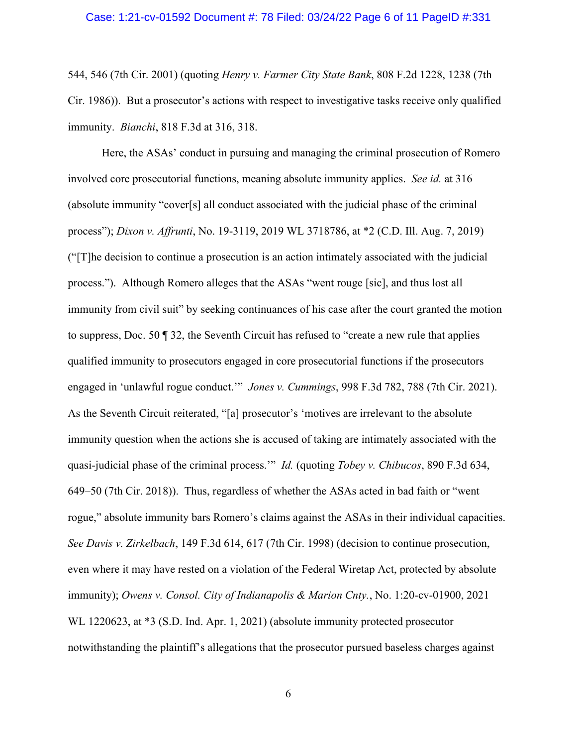#### Case: 1:21-cv-01592 Document #: 78 Filed: 03/24/22 Page 6 of 11 PageID #:331

544, 546 (7th Cir. 2001) (quoting *Henry v. Farmer City State Bank*, 808 F.2d 1228, 1238 (7th Cir. 1986)). But a prosecutor's actions with respect to investigative tasks receive only qualified immunity. *Bianchi*, 818 F.3d at 316, 318.

Here, the ASAs' conduct in pursuing and managing the criminal prosecution of Romero involved core prosecutorial functions, meaning absolute immunity applies. *See id.* at 316 (absolute immunity "cover[s] all conduct associated with the judicial phase of the criminal process"); *Dixon v. Affrunti*, No. 19-3119, 2019 WL 3718786, at \*2 (C.D. Ill. Aug. 7, 2019) ("[T]he decision to continue a prosecution is an action intimately associated with the judicial process."). Although Romero alleges that the ASAs "went rouge [sic], and thus lost all immunity from civil suit" by seeking continuances of his case after the court granted the motion to suppress, Doc. 50 ¶ 32, the Seventh Circuit has refused to "create a new rule that applies qualified immunity to prosecutors engaged in core prosecutorial functions if the prosecutors engaged in 'unlawful rogue conduct.'" *Jones v. Cummings*, 998 F.3d 782, 788 (7th Cir. 2021). As the Seventh Circuit reiterated, "[a] prosecutor's 'motives are irrelevant to the absolute immunity question when the actions she is accused of taking are intimately associated with the quasi-judicial phase of the criminal process.'" *Id.* (quoting *Tobey v. Chibucos*, 890 F.3d 634, 649–50 (7th Cir. 2018)). Thus, regardless of whether the ASAs acted in bad faith or "went rogue," absolute immunity bars Romero's claims against the ASAs in their individual capacities. *See Davis v. Zirkelbach*, 149 F.3d 614, 617 (7th Cir. 1998) (decision to continue prosecution, even where it may have rested on a violation of the Federal Wiretap Act, protected by absolute immunity); *Owens v. Consol. City of Indianapolis & Marion Cnty.*, No. 1:20-cv-01900, 2021 WL 1220623, at  $*3$  (S.D. Ind. Apr. 1, 2021) (absolute immunity protected prosecutor notwithstanding the plaintiff's allegations that the prosecutor pursued baseless charges against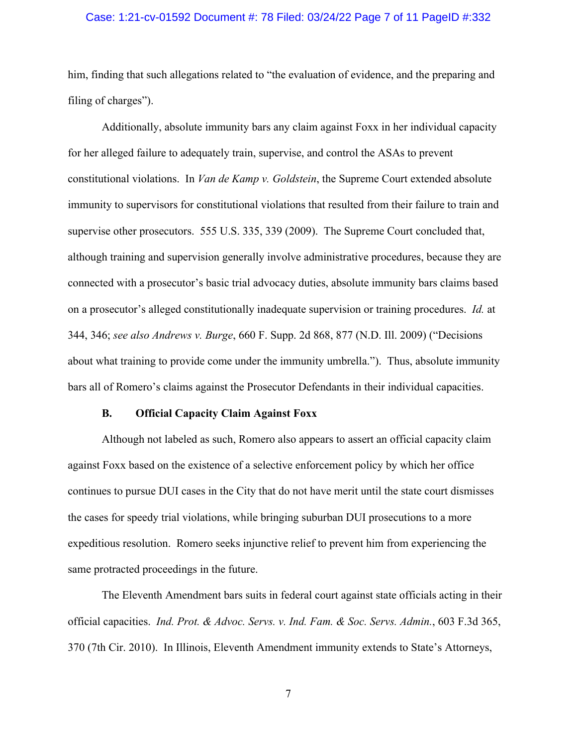#### Case: 1:21-cv-01592 Document #: 78 Filed: 03/24/22 Page 7 of 11 PageID #:332

him, finding that such allegations related to "the evaluation of evidence, and the preparing and filing of charges").

Additionally, absolute immunity bars any claim against Foxx in her individual capacity for her alleged failure to adequately train, supervise, and control the ASAs to prevent constitutional violations. In *Van de Kamp v. Goldstein*, the Supreme Court extended absolute immunity to supervisors for constitutional violations that resulted from their failure to train and supervise other prosecutors. 555 U.S. 335, 339 (2009). The Supreme Court concluded that, although training and supervision generally involve administrative procedures, because they are connected with a prosecutor's basic trial advocacy duties, absolute immunity bars claims based on a prosecutor's alleged constitutionally inadequate supervision or training procedures. *Id.* at 344, 346; *see also Andrews v. Burge*, 660 F. Supp. 2d 868, 877 (N.D. Ill. 2009) ("Decisions about what training to provide come under the immunity umbrella."). Thus, absolute immunity bars all of Romero's claims against the Prosecutor Defendants in their individual capacities.

#### **B. Official Capacity Claim Against Foxx**

Although not labeled as such, Romero also appears to assert an official capacity claim against Foxx based on the existence of a selective enforcement policy by which her office continues to pursue DUI cases in the City that do not have merit until the state court dismisses the cases for speedy trial violations, while bringing suburban DUI prosecutions to a more expeditious resolution. Romero seeks injunctive relief to prevent him from experiencing the same protracted proceedings in the future.

The Eleventh Amendment bars suits in federal court against state officials acting in their official capacities. *Ind. Prot. & Advoc. Servs. v. Ind. Fam. & Soc. Servs. Admin.*, 603 F.3d 365, 370 (7th Cir. 2010). In Illinois, Eleventh Amendment immunity extends to State's Attorneys,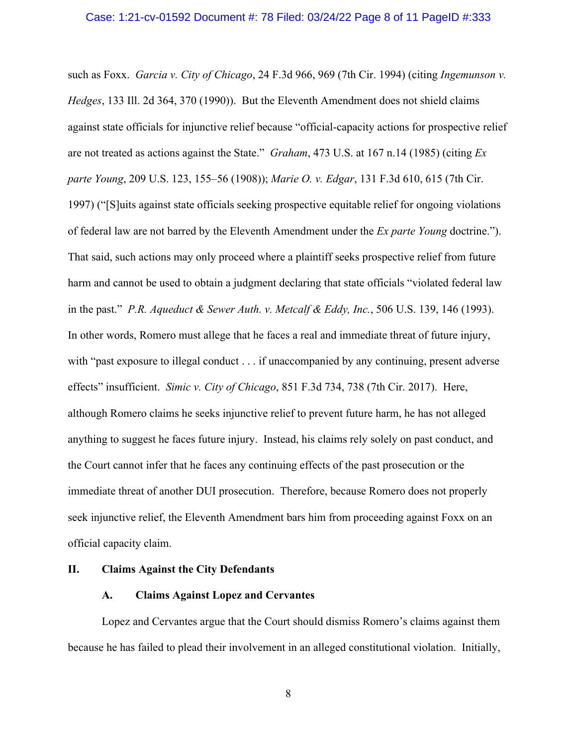such as Foxx. *Garcia v. City of Chicago*, 24 F.3d 966, 969 (7th Cir. 1994) (citing *Ingemunson v. Hedges*, 133 Ill. 2d 364, 370 (1990)). But the Eleventh Amendment does not shield claims against state officials for injunctive relief because "official-capacity actions for prospective relief are not treated as actions against the State." *Graham*, 473 U.S. at 167 n.14 (1985) (citing *Ex parte Young*, 209 U.S. 123, 155–56 (1908)); *Marie O. v. Edgar*, 131 F.3d 610, 615 (7th Cir. 1997) ("[S]uits against state officials seeking prospective equitable relief for ongoing violations of federal law are not barred by the Eleventh Amendment under the *Ex parte Young* doctrine."). That said, such actions may only proceed where a plaintiff seeks prospective relief from future harm and cannot be used to obtain a judgment declaring that state officials "violated federal law in the past." *P.R. Aqueduct & Sewer Auth. v. Metcalf & Eddy, Inc.*, 506 U.S. 139, 146 (1993). In other words, Romero must allege that he faces a real and immediate threat of future injury, with "past exposure to illegal conduct . . . if unaccompanied by any continuing, present adverse effects" insufficient. *Simic v. City of Chicago*, 851 F.3d 734, 738 (7th Cir. 2017). Here, although Romero claims he seeks injunctive relief to prevent future harm, he has not alleged anything to suggest he faces future injury. Instead, his claims rely solely on past conduct, and the Court cannot infer that he faces any continuing effects of the past prosecution or the immediate threat of another DUI prosecution. Therefore, because Romero does not properly seek injunctive relief, the Eleventh Amendment bars him from proceeding against Foxx on an official capacity claim.

## **II. Claims Against the City Defendants**

## **A. Claims Against Lopez and Cervantes**

Lopez and Cervantes argue that the Court should dismiss Romero's claims against them because he has failed to plead their involvement in an alleged constitutional violation. Initially,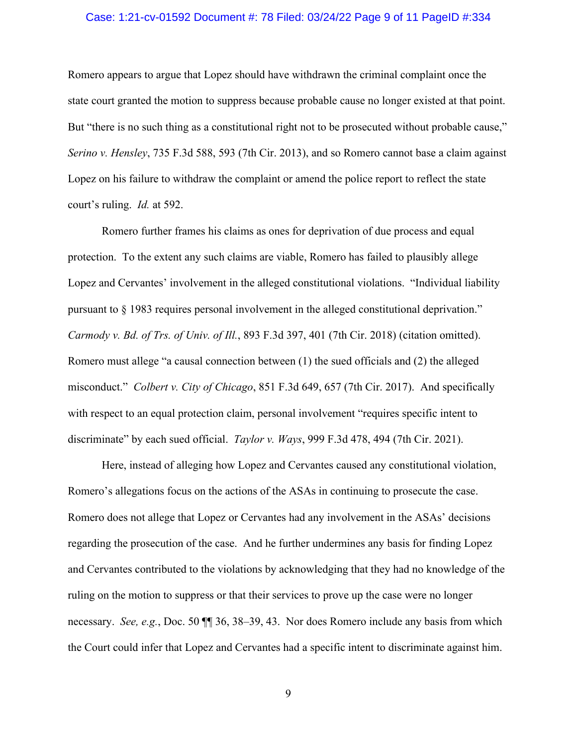#### Case: 1:21-cv-01592 Document #: 78 Filed: 03/24/22 Page 9 of 11 PageID #:334

Romero appears to argue that Lopez should have withdrawn the criminal complaint once the state court granted the motion to suppress because probable cause no longer existed at that point. But "there is no such thing as a constitutional right not to be prosecuted without probable cause," *Serino v. Hensley*, 735 F.3d 588, 593 (7th Cir. 2013), and so Romero cannot base a claim against Lopez on his failure to withdraw the complaint or amend the police report to reflect the state court's ruling. *Id.* at 592.

Romero further frames his claims as ones for deprivation of due process and equal protection. To the extent any such claims are viable, Romero has failed to plausibly allege Lopez and Cervantes' involvement in the alleged constitutional violations. "Individual liability pursuant to § 1983 requires personal involvement in the alleged constitutional deprivation." *Carmody v. Bd. of Trs. of Univ. of Ill.*, 893 F.3d 397, 401 (7th Cir. 2018) (citation omitted). Romero must allege "a causal connection between (1) the sued officials and (2) the alleged misconduct." *Colbert v. City of Chicago*, 851 F.3d 649, 657 (7th Cir. 2017). And specifically with respect to an equal protection claim, personal involvement "requires specific intent to discriminate" by each sued official. *Taylor v. Ways*, 999 F.3d 478, 494 (7th Cir. 2021).

Here, instead of alleging how Lopez and Cervantes caused any constitutional violation, Romero's allegations focus on the actions of the ASAs in continuing to prosecute the case. Romero does not allege that Lopez or Cervantes had any involvement in the ASAs' decisions regarding the prosecution of the case. And he further undermines any basis for finding Lopez and Cervantes contributed to the violations by acknowledging that they had no knowledge of the ruling on the motion to suppress or that their services to prove up the case were no longer necessary. *See, e.g.*, Doc. 50 ¶¶ 36, 38–39, 43. Nor does Romero include any basis from which the Court could infer that Lopez and Cervantes had a specific intent to discriminate against him.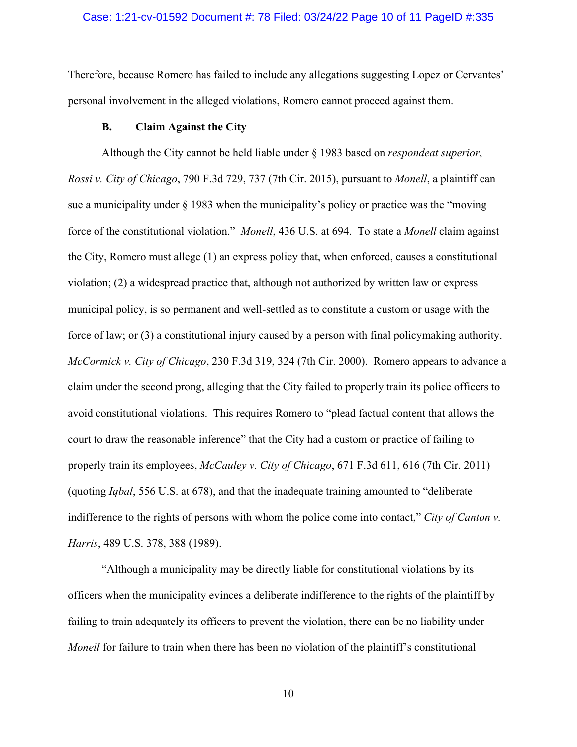#### Case: 1:21-cv-01592 Document #: 78 Filed: 03/24/22 Page 10 of 11 PageID #:335

Therefore, because Romero has failed to include any allegations suggesting Lopez or Cervantes' personal involvement in the alleged violations, Romero cannot proceed against them.

#### **B. Claim Against the City**

Although the City cannot be held liable under § 1983 based on *respondeat superior*, *Rossi v. City of Chicago*, 790 F.3d 729, 737 (7th Cir. 2015), pursuant to *Monell*, a plaintiff can sue a municipality under  $\S$  1983 when the municipality's policy or practice was the "moving" force of the constitutional violation." *Monell*, 436 U.S. at 694. To state a *Monell* claim against the City, Romero must allege (1) an express policy that, when enforced, causes a constitutional violation; (2) a widespread practice that, although not authorized by written law or express municipal policy, is so permanent and well-settled as to constitute a custom or usage with the force of law; or (3) a constitutional injury caused by a person with final policymaking authority. *McCormick v. City of Chicago*, 230 F.3d 319, 324 (7th Cir. 2000). Romero appears to advance a claim under the second prong, alleging that the City failed to properly train its police officers to avoid constitutional violations. This requires Romero to "plead factual content that allows the court to draw the reasonable inference" that the City had a custom or practice of failing to properly train its employees, *McCauley v. City of Chicago*, 671 F.3d 611, 616 (7th Cir. 2011) (quoting *Iqbal*, 556 U.S. at 678), and that the inadequate training amounted to "deliberate indifference to the rights of persons with whom the police come into contact," *City of Canton v. Harris*, 489 U.S. 378, 388 (1989).

"Although a municipality may be directly liable for constitutional violations by its officers when the municipality evinces a deliberate indifference to the rights of the plaintiff by failing to train adequately its officers to prevent the violation, there can be no liability under *Monell* for failure to train when there has been no violation of the plaintiff's constitutional